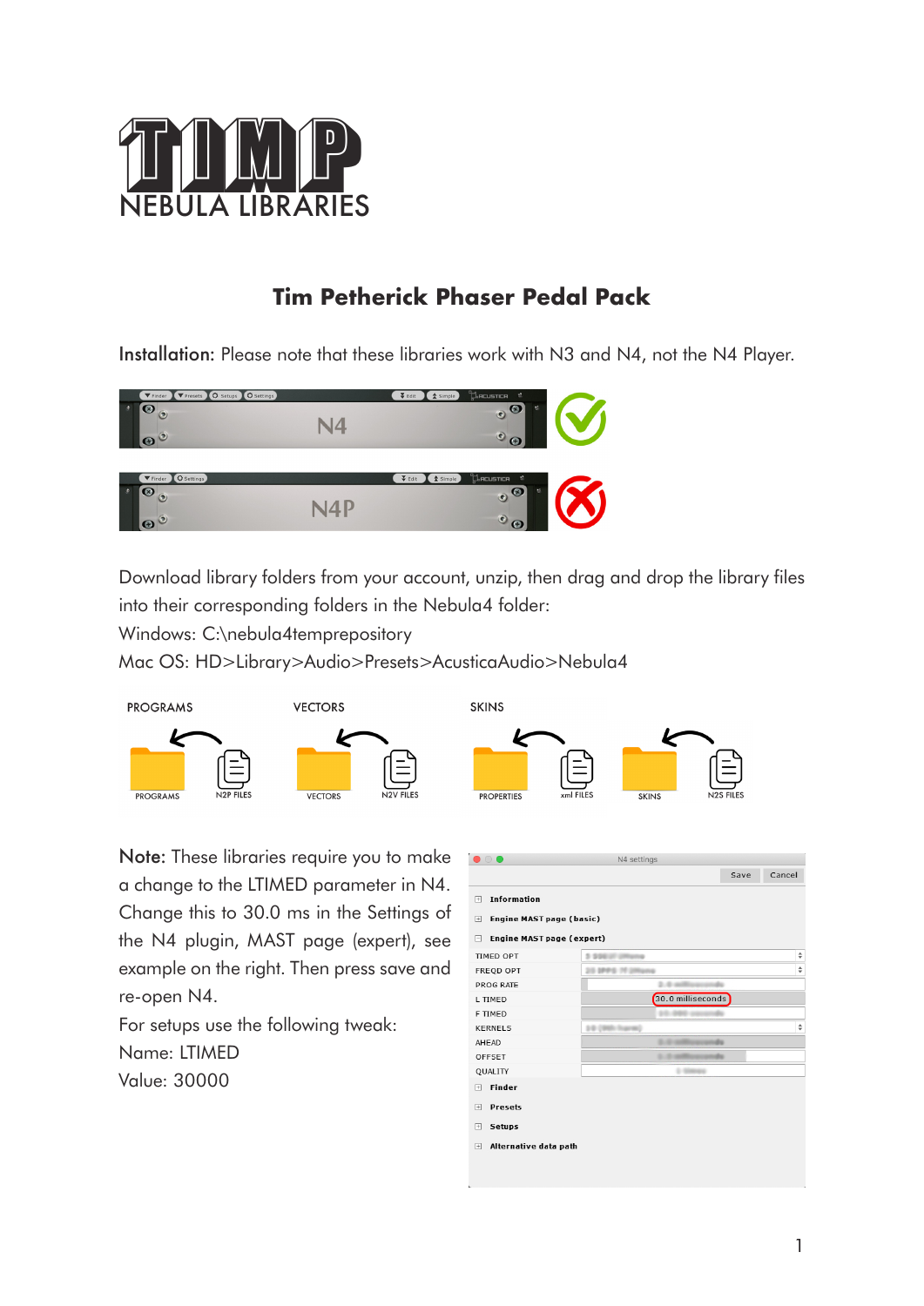

# **Tim Petherick Phaser Pedal Pack**

Installation: Please note that these libraries work with N3 and N4, not the N4 Player.



Download library folders from your account, unzip, then drag and drop the library files into their corresponding folders in the Nebula4 folder:

Windows: C:\nebula4temprepository

Mac OS: HD>Library>Audio>Presets>AcusticaAudio>Nebula4



Note: These libraries require you to make a change to the LTIMED parameter in N4. Change this to 30.0 ms in the Settings of the N4 plugin, MAST page (expert), see example on the right. Then press save and re-open N4.

For setups use the following tweak: Name: LTIMED Value: 30000

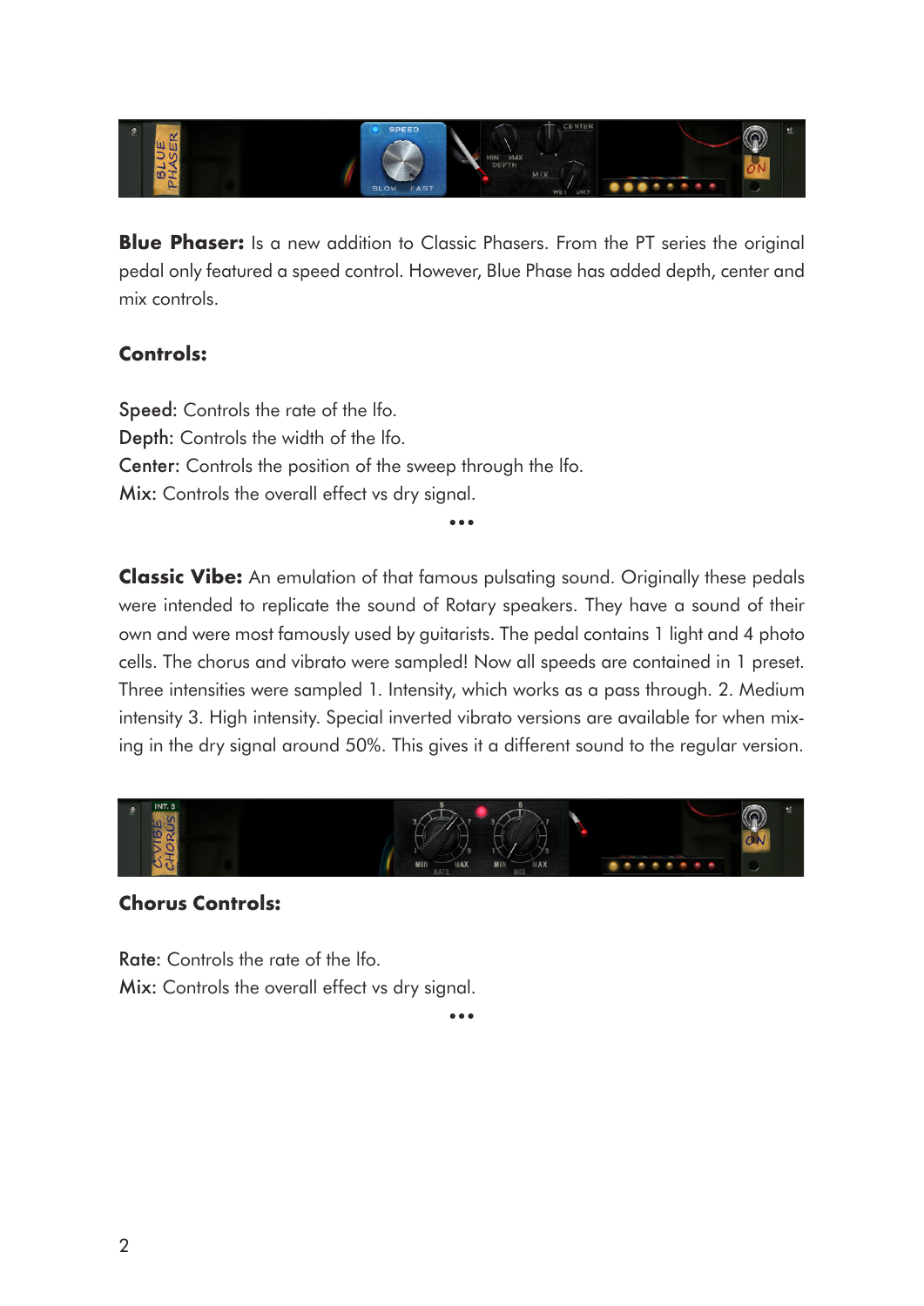

**Blue Phaser:** Is a new addition to Classic Phasers. From the PT series the original pedal only featured a speed control. However, Blue Phase has added depth, center and mix controls.

### **Controls:**

Speed: Controls the rate of the lfo. Depth: Controls the width of the lfo. Center: Controls the position of the sweep through the lfo. Mix: Controls the overall effect vs dry signal.

**Classic Vibe:** An emulation of that famous pulsating sound. Originally these pedals were intended to replicate the sound of Rotary speakers. They have a sound of their own and were most famously used by guitarists. The pedal contains 1 light and 4 photo cells. The chorus and vibrato were sampled! Now all speeds are contained in 1 preset. Three intensities were sampled 1. Intensity, which works as a pass through. 2. Medium intensity 3. High intensity. Special inverted vibrato versions are available for when mixing in the dry signal around 50%. This gives it a different sound to the regular version.

•••



#### **Chorus Controls:**

Rate: Controls the rate of the lfo. Mix: Controls the overall effect vs dry signal.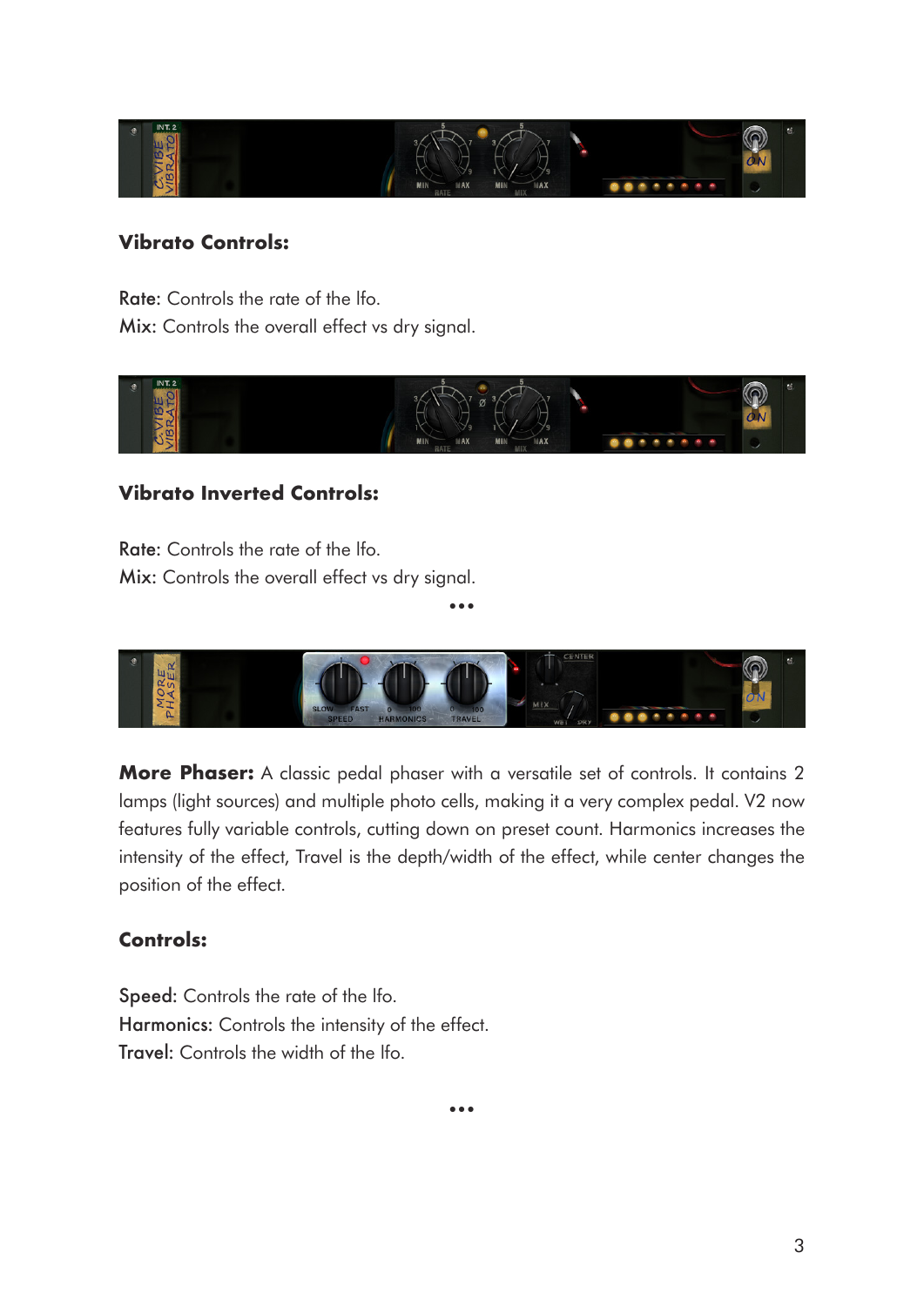

#### **Vibrato Controls:**

Rate: Controls the rate of the lfo. Mix: Controls the overall effect vs dry signal.



#### **Vibrato Inverted Controls:**

Rate: Controls the rate of the lfo. Mix: Controls the overall effect vs dry signal.

•••

**More Phaser:** A classic pedal phaser with a versatile set of controls. It contains 2 lamps (light sources) and multiple photo cells, making it a very complex pedal. V2 now features fully variable controls, cutting down on preset count. Harmonics increases the intensity of the effect, Travel is the depth/width of the effect, while center changes the position of the effect.

#### **Controls:**

Speed: Controls the rate of the lfo. Harmonics: Controls the intensity of the effect. Travel: Controls the width of the lfo.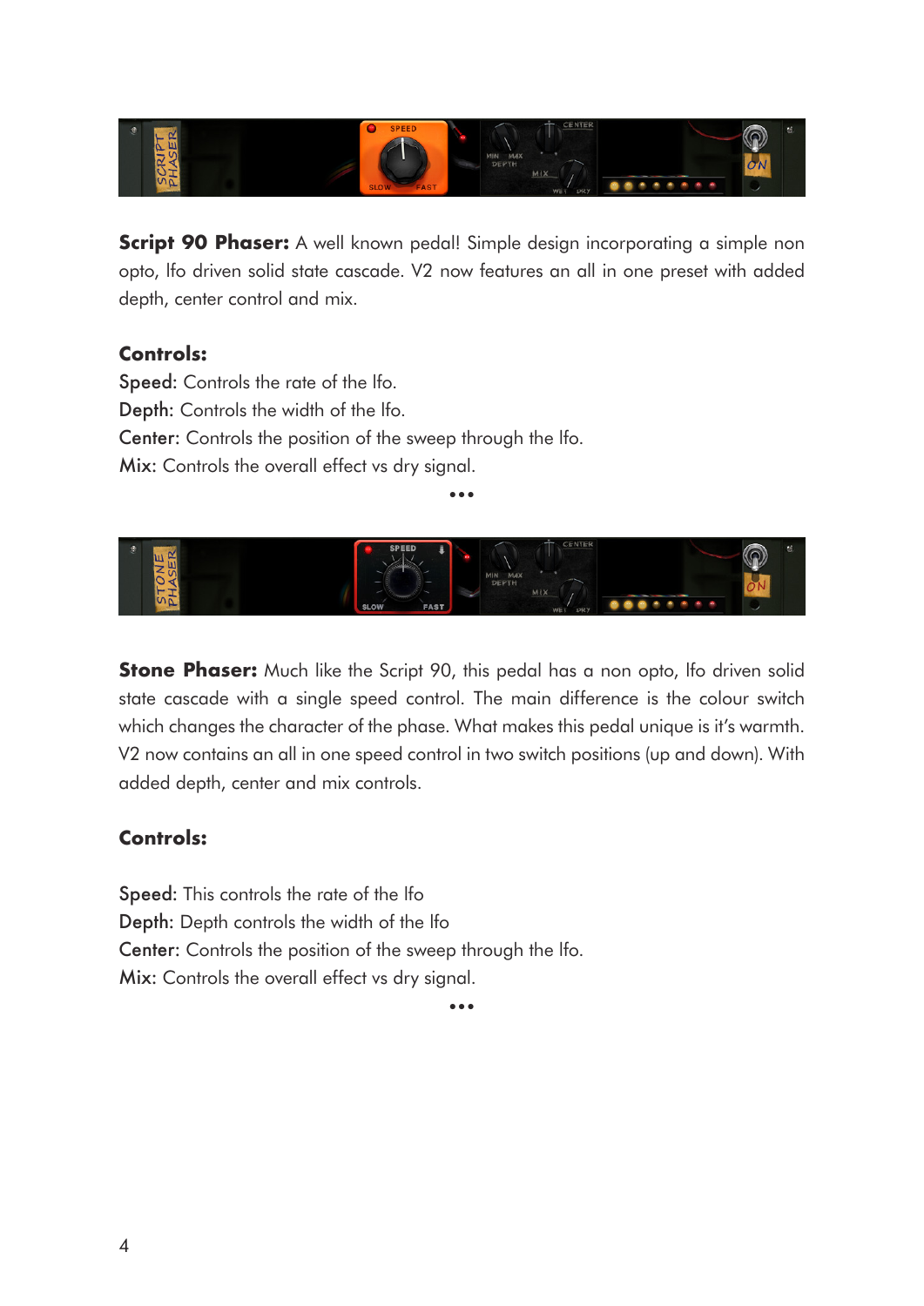

**Script 90 Phaser:** A well known pedal! Simple design incorporating a simple non opto, lfo driven solid state cascade. V2 now features an all in one preset with added depth, center control and mix.

#### **Controls:**

Speed: Controls the rate of the lfo. Depth: Controls the width of the lfo. Center: Controls the position of the sweep through the lfo. Mix: Controls the overall effect vs dry signal.



•••

**Stone Phaser:** Much like the Script 90, this pedal has a non opto, Ifo driven solid state cascade with a single speed control. The main difference is the colour switch which changes the character of the phase. What makes this pedal unique is it's warmth. V2 now contains an all in one speed control in two switch positions (up and down). With added depth, center and mix controls.

## **Controls:**

Speed: This controls the rate of the lfo Depth: Depth controls the width of the lfo Center: Controls the position of the sweep through the lfo. Mix: Controls the overall effect vs dry signal.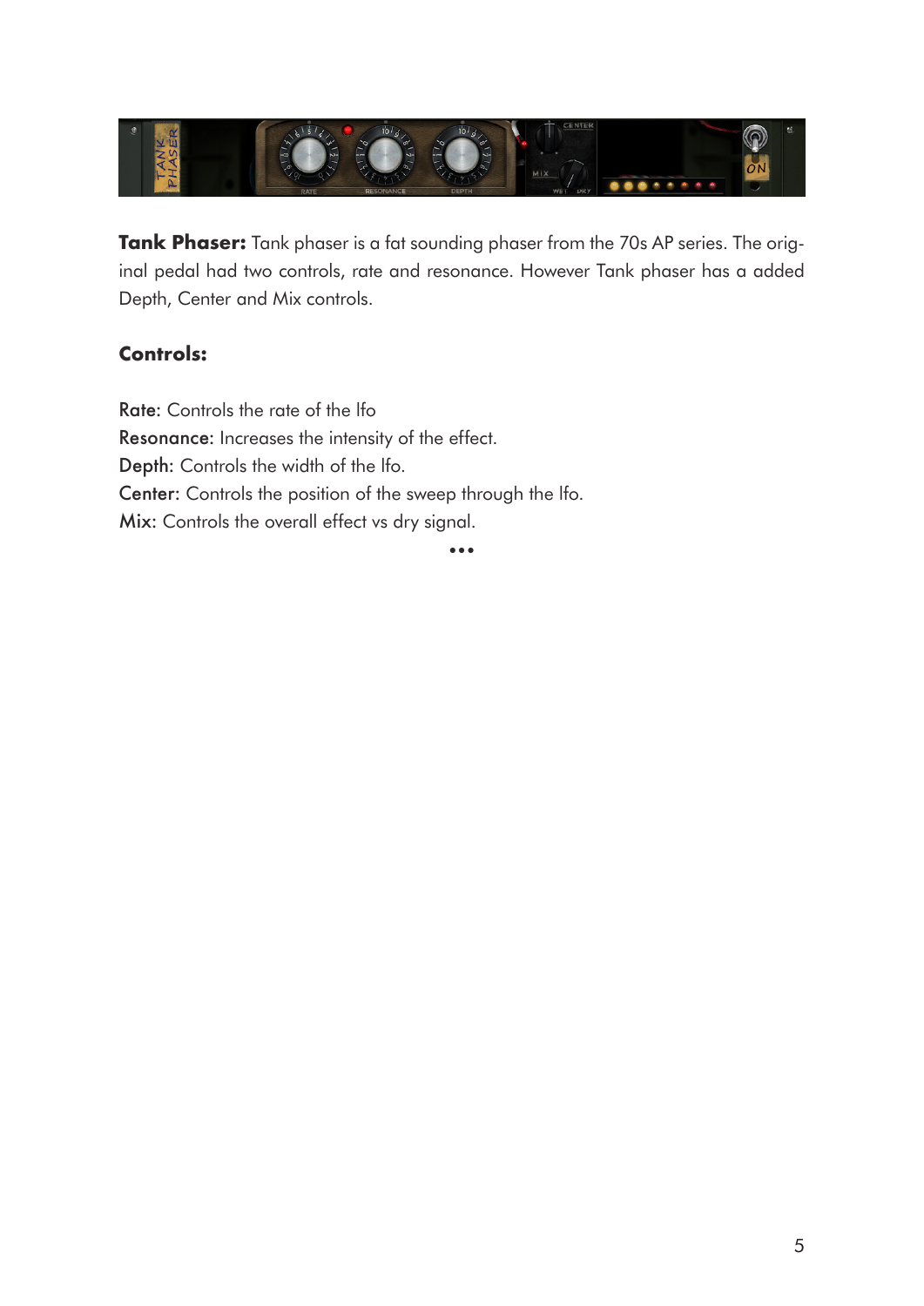

**Tank Phaser:** Tank phaser is a fat sounding phaser from the 70s AP series. The original pedal had two controls, rate and resonance. However Tank phaser has a added Depth, Center and Mix controls.

## **Controls:**

Rate: Controls the rate of the lfo Resonance: Increases the intensity of the effect. Depth: Controls the width of the lfo. Center: Controls the position of the sweep through the lfo. Mix: Controls the overall effect vs dry signal.